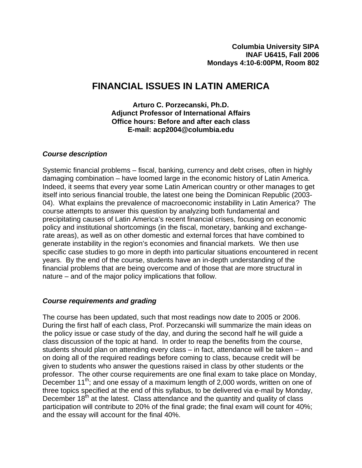# **FINANCIAL ISSUES IN LATIN AMERICA**

**Arturo C. Porzecanski, Ph.D. Adjunct Professor of International Affairs Office hours: Before and after each class E-mail: acp2004@columbia.edu** 

## *Course description*

Systemic financial problems – fiscal, banking, currency and debt crises, often in highly damaging combination – have loomed large in the economic history of Latin America. Indeed, it seems that every year some Latin American country or other manages to get itself into serious financial trouble, the latest one being the Dominican Republic (2003- 04). What explains the prevalence of macroeconomic instability in Latin America? The course attempts to answer this question by analyzing both fundamental and precipitating causes of Latin America's recent financial crises, focusing on economic policy and institutional shortcomings (in the fiscal, monetary, banking and exchangerate areas), as well as on other domestic and external forces that have combined to generate instability in the region's economies and financial markets. We then use specific case studies to go more in depth into particular situations encountered in recent years. By the end of the course, students have an in-depth understanding of the financial problems that are being overcome and of those that are more structural in nature – and of the major policy implications that follow.

## *Course requirements and grading*

The course has been updated, such that most readings now date to 2005 or 2006. During the first half of each class, Prof. Porzecanski will summarize the main ideas on the policy issue or case study of the day, and during the second half he will guide a class discussion of the topic at hand. In order to reap the benefits from the course, students should plan on attending every class – in fact, attendance will be taken – and on doing all of the required readings before coming to class, because credit will be given to students who answer the questions raised in class by other students or the professor. The other course requirements are one final exam to take place on Monday, December 11<sup>th</sup>; and one essay of a maximum length of 2,000 words, written on one of three topics specified at the end of this syllabus, to be delivered via e-mail by Monday, December  $18<sup>th</sup>$  at the latest. Class attendance and the quantity and quality of class participation will contribute to 20% of the final grade; the final exam will count for 40%; and the essay will account for the final 40%.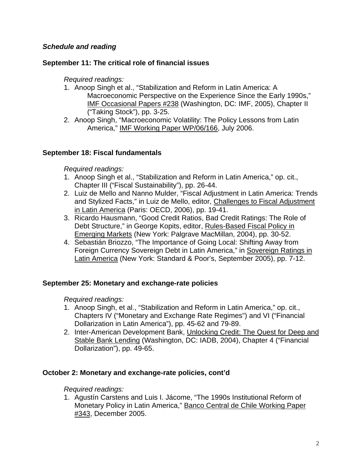## *Schedule and reading*

## **September 11: The critical role of financial issues**

*Required readings:*

- 1. Anoop Singh et al., "Stabilization and Reform in Latin America: A Macroeconomic Perspective on the Experience Since the Early 1990s," IMF Occasional Papers #238 (Washington, DC: IMF, 2005), Chapter II ("Taking Stock"), pp. 3-25.
- 2. Anoop Singh, "Macroeconomic Volatility: The Policy Lessons from Latin America," IMF Working Paper WP/06/166, July 2006.

## **September 18: Fiscal fundamentals**

*Required readings:*

- 1. Anoop Singh et al., "Stabilization and Reform in Latin America," op. cit., Chapter III ("Fiscal Sustainability"), pp. 26-44.
- 2. Luiz de Mello and Nanno Mulder, "Fiscal Adjustment in Latin America: Trends and Stylized Facts," in Luiz de Mello, editor, Challenges to Fiscal Adjustment in Latin America (Paris: OECD, 2006), pp. 19-41.
- 3. Ricardo Hausmann, "Good Credit Ratios, Bad Credit Ratings: The Role of Debt Structure," in George Kopits, editor, Rules-Based Fiscal Policy in Emerging Markets (New York: Palgrave MacMillan, 2004), pp. 30-52.
- 4. Sebastián Briozzo, "The Importance of Going Local: Shifting Away from Foreign Currency Sovereign Debt in Latin America," in Sovereign Ratings in Latin America (New York: Standard & Poor's, September 2005), pp. 7-12.

## **September 25: Monetary and exchange-rate policies**

*Required readings:*

- 1. Anoop Singh, et al., "Stabilization and Reform in Latin America," op. cit., Chapters IV ("Monetary and Exchange Rate Regimes") and VI ("Financial Dollarization in Latin America"), pp. 45-62 and 79-89.
- 2. Inter-American Development Bank, Unlocking Credit: The Quest for Deep and Stable Bank Lending (Washington, DC: IADB, 2004), Chapter 4 ("Financial Dollarization"), pp. 49-65.

## **October 2: Monetary and exchange-rate policies, cont'd**

*Required readings:*

1. Agustín Carstens and Luis I. Jácome, "The 1990s Institutional Reform of Monetary Policy in Latin America," Banco Central de Chile Working Paper #343, December 2005.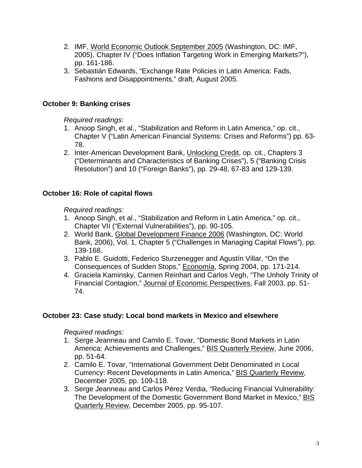- 2. IMF, World Economic Outlook September 2005 (Washington, DC: IMF, 2005), Chapter IV ("Does Inflation Targeting Work in Emerging Markets?"), pp. 161-186.
- 3. Sebastián Edwards, "Exchange Rate Policies in Latin America: Fads, Fashions and Disappointments," draft, August 2005.

# **October 9: Banking crises**

*Required readings*:

- 1. Anoop Singh, et al., "Stabilization and Reform in Latin America," op. cit., Chapter V ("Latin American Financial Systems: Crises and Reforms") pp. 63- 78.
- 2. Inter-American Development Bank, Unlocking Credit, op. cit., Chapters 3 ("Determinants and Characteristics of Banking Crises"), 5 ("Banking Crisis Resolution") and 10 ("Foreign Banks"), pp. 29-48, 67-83 and 129-139.

# **October 16: Role of capital flows**

*Required readings:*

- 1. Anoop Singh, et al., "Stabilization and Reform in Latin America," op. cit., Chapter VII ("External Vulnerabilities"), pp. 90-105.
- 2. World Bank, Global Development Finance 2006 (Washington, DC: World Bank, 2006), Vol. 1, Chapter 5 ("Challenges in Managing Capital Flows"), pp. 139-168.
- 3. Pablo E. Guidotti, Federico Sturzenegger and Agustín Villar, "On the Consequences of Sudden Stops," Economía, Spring 2004, pp. 171-214.
- 4. Graciela Kaminsky, Carmen Reinhart and Carlos Vegh, "The Unholy Trinity of Financial Contagion," Journal of Economic Perspectives, Fall 2003, pp. 51- 74.

## **October 23: Case study: Local bond markets in Mexico and elsewhere**

*Required readings:*

- 1. Serge Jeanneau and Camilo E. Tovar, "Domestic Bond Markets in Latin America: Achievements and Challenges," BIS Quarterly Review, June 2006, pp. 51-64.
- 2. Camilo E. Tovar, "International Government Debt Denominated in Local Currency: Recent Developments in Latin America," BIS Quarterly Review, December 2005, pp. 109-118.
- 3. Serge Jeanneau and Carlos Pérez Verdia, "Reducing Financial Vulnerability: The Development of the Domestic Government Bond Market in Mexico," BIS Quarterly Review, December 2005, pp. 95-107.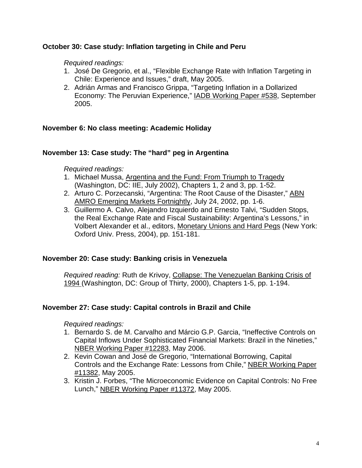## **October 30: Case study: Inflation targeting in Chile and Peru**

#### *Required readings:*

- 1. José De Gregorio, et al., "Flexible Exchange Rate with Inflation Targeting in Chile: Experience and Issues," draft, May 2005.
- 2. Adrián Armas and Francisco Grippa, "Targeting Inflation in a Dollarized Economy: The Peruvian Experience," IADB Working Paper #538, September 2005.

#### **November 6: No class meeting: Academic Holiday**

#### **November 13: Case study: The "hard" peg in Argentina**

#### *Required readings:*

- 1. Michael Mussa, Argentina and the Fund: From Triumph to Tragedy (Washington, DC: IIE, July 2002), Chapters 1, 2 and 3, pp. 1-52.
- 2. Arturo C. Porzecanski, "Argentina: The Root Cause of the Disaster," ABN AMRO Emerging Markets Fortnightly, July 24, 2002, pp. 1-6.
- 3. Guillermo A. Calvo, Alejandro Izquierdo and Ernesto Talvi, "Sudden Stops, the Real Exchange Rate and Fiscal Sustainability: Argentina's Lessons," in Volbert Alexander et al., editors, Monetary Unions and Hard Pegs (New York: Oxford Univ. Press, 2004), pp. 151-181.

#### **November 20: Case study: Banking crisis in Venezuela**

*Required reading:* Ruth de Krivoy, Collapse: The Venezuelan Banking Crisis of 1994 (Washington, DC: Group of Thirty, 2000), Chapters 1-5, pp. 1-194.

## **November 27: Case study: Capital controls in Brazil and Chile**

#### *Required readings:*

- 1. Bernardo S. de M. Carvalho and Márcio G.P. Garcia, "Ineffective Controls on Capital Inflows Under Sophisticated Financial Markets: Brazil in the Nineties," NBER Working Paper #12283, May 2006.
- 2. Kevin Cowan and José de Gregorio, "International Borrowing, Capital Controls and the Exchange Rate: Lessons from Chile," NBER Working Paper #11382, May 2005.
- 3. Kristin J. Forbes, "The Microeconomic Evidence on Capital Controls: No Free Lunch," NBER Working Paper #11372, May 2005.